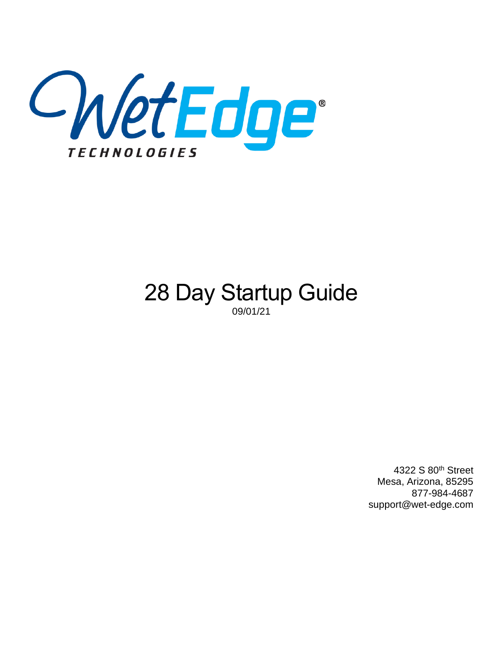

# 28 Day Startup Guide 09/01/21

4322 S 80th Street Mesa, Arizona, 85295 877-984-4687 support@wet-edge.com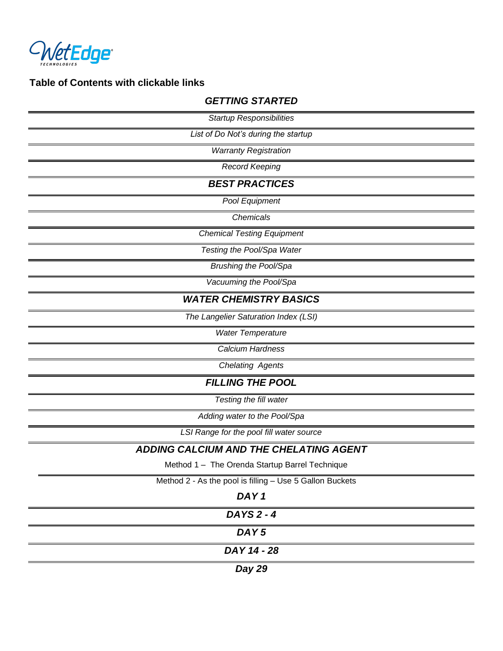

# **Table of Contents with clickable links**

| able of Contents with clickable links                    |
|----------------------------------------------------------|
| <b>GETTING STARTED</b>                                   |
| <b>Startup Responsibilities</b>                          |
| List of Do Not's during the startup                      |
| <b>Warranty Registration</b>                             |
| <b>Record Keeping</b>                                    |
| <b>BEST PRACTICES</b>                                    |
| Pool Equipment                                           |
| Chemicals                                                |
| <b>Chemical Testing Equipment</b>                        |
| Testing the Pool/Spa Water                               |
| <b>Brushing the Pool/Spa</b>                             |
| Vacuuming the Pool/Spa                                   |
| <b>WATER CHEMISTRY BASICS</b>                            |
| The Langelier Saturation Index (LSI)                     |
| <b>Water Temperature</b>                                 |
| Calcium Hardness                                         |
| <b>Chelating Agents</b>                                  |
| <b>FILLING THE POOL</b>                                  |
| Testing the fill water                                   |
| Adding water to the Pool/Spa                             |
| LSI Range for the pool fill water source                 |
| ADDING CALCIUM AND THE CHELATING AGENT                   |
| Method 1 - The Orenda Startup Barrel Technique           |
| Method 2 - As the pool is filling - Use 5 Gallon Buckets |
| DAY <sub>1</sub>                                         |
| DAYS 2 - 4                                               |

*[DAY 5](#page-10-0)*

*[DAY 14 -](#page-10-1) 28*

*[Day 29](#page-10-2)*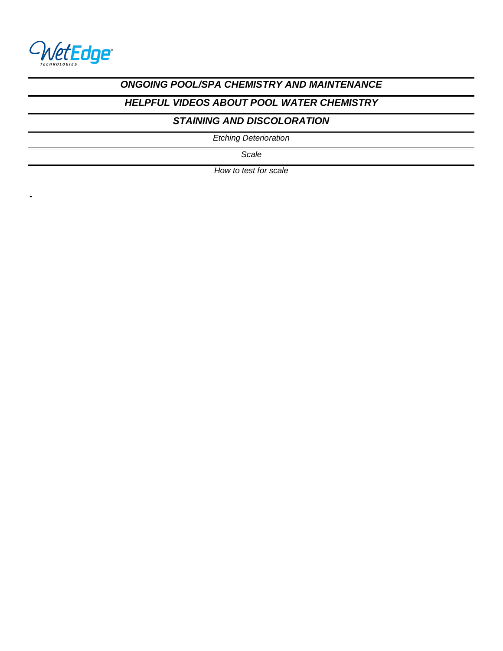

**-**

### *[ONGOING POOL/SPA CHEMISTRY AND MAINTENANCE](#page-11-0)*

### *[HELPFUL VIDEOS ABOUT POOL WATER CHEMISTRY](#page-12-0)*

### *[STAINING AND DISCOLORATION](#page-12-1)*

*[Etching Deterioration](#page-12-2)*

*[Scale](#page-13-0)*

*[How to test for scale](#page-13-1)*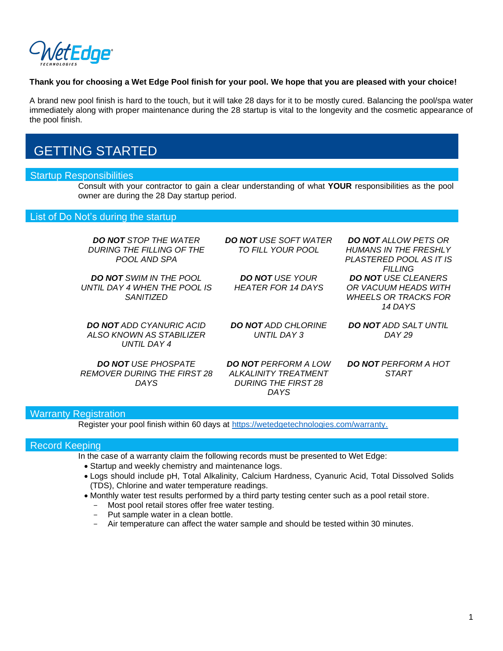

#### **Thank you for choosing a Wet Edge Pool finish for your pool. We hope that you are pleased with your choice!**

A brand new pool finish is hard to the touch, but it will take 28 days for it to be mostly cured. Balancing the pool/spa water immediately along with proper maintenance during the 28 startup is vital to the longevity and the cosmetic appearance of the pool finish.

# <span id="page-3-0"></span>GETTING STARTED

#### <span id="page-3-1"></span>Startup Responsibilities

Consult with your contractor to gain a clear understanding of what **YOUR** responsibilities as the pool owner are during the 28 Day startup period.

#### <span id="page-3-2"></span>List of Do Not's during the startup

| <b>DO NOT STOP THE WATER</b><br>DURING THE FILLING OF THE<br>POOL AND SPA   | <b>DO NOT</b> USE SOFT WATER<br>TO FILL YOUR POOL                                 | <b>DO NOT</b> ALLOW PETS OR<br><b>HUMANS IN THE FRESHLY</b><br>PLASTERED POOL AS IT IS<br><b>FILLING</b> |
|-----------------------------------------------------------------------------|-----------------------------------------------------------------------------------|----------------------------------------------------------------------------------------------------------|
| <b>DO NOT SWIM IN THE POOL</b><br>UNTIL DAY 4 WHEN THE POOL IS<br>SANITIZED | <b>DO NOT USE YOUR</b><br>HEATER FOR 14 DAYS                                      | <b>DO NOT USE CLEANERS</b><br>OR VACUUM HEADS WITH<br><b>WHEELS OR TRACKS FOR</b><br>14 DAYS             |
| <b>DO NOT</b> ADD CYANURIC ACID<br>ALSO KNOWN AS STABILIZER<br>UNTIL DAY 4  | <b>DO NOT</b> ADD CHLORINE<br>UNTIL DAY 3                                         | <b>DO NOT ADD SALT UNTIL</b><br>DAY 29                                                                   |
| <b>DO NOT USE PHOSPATE</b><br><i>REMOVER DURING THE FIRST 28</i><br>DAYS    | <b>DO NOT PERFORM A LOW</b><br>ALKALINITY TREATMENT<br><b>DURING THE FIRST 28</b> | <b>DO NOT PERFORM A HOT</b><br><b>START</b>                                                              |

*DAYS*

#### <span id="page-3-3"></span>**Warranty Registration**

Register your pool finish within 60 days at [https://wetedgetechnologies.com/warranty.](https://wetedgetechnologies.com/warranty)

#### <span id="page-3-4"></span>Record Keeping

- In the case of a warranty claim the following records must be presented to Wet Edge:
	- Startup and weekly chemistry and maintenance logs.
	- Logs should include pH, Total Alkalinity, Calcium Hardness, Cyanuric Acid, Total Dissolved Solids (TDS), Chlorine and water temperature readings.
	- Monthly water test results performed by a third party testing center such as a pool retail store.
		- Most pool retail stores offer free water testing.
		- Put sample water in a clean bottle.
		- Air temperature can affect the water sample and should be tested within 30 minutes.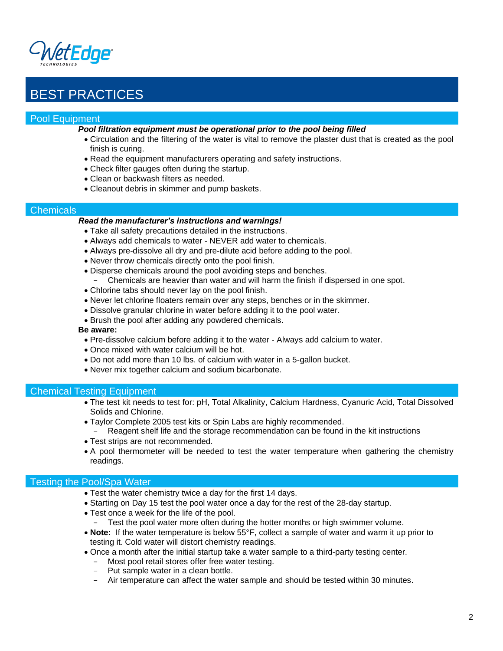

# <span id="page-4-0"></span>BEST PRACTICES

#### <span id="page-4-1"></span>Pool Equipment

- *Pool filtration equipment must be operational prior to the pool being filled*
	- Circulation and the filtering of the water is vital to remove the plaster dust that is created as the pool finish is curing.
	- Read the equipment manufacturers operating and safety instructions.
	- Check filter gauges often during the startup.
	- Clean or backwash filters as needed.
	- Cleanout debris in skimmer and pump baskets.

#### <span id="page-4-2"></span>**Chemicals**

#### *Read the manufacturer's instructions and warnings!*

- Take all safety precautions detailed in the instructions.
- Always add chemicals to water NEVER add water to chemicals.
- Always pre-dissolve all dry and pre-dilute acid before adding to the pool.
- Never throw chemicals directly onto the pool finish.
- Disperse chemicals around the pool avoiding steps and benches.
	- Chemicals are heavier than water and will harm the finish if dispersed in one spot.
- Chlorine tabs should never lay on the pool finish.
- Never let chlorine floaters remain over any steps, benches or in the skimmer.
- Dissolve granular chlorine in water before adding it to the pool water.
- Brush the pool after adding any powdered chemicals.

#### **Be aware:**

- Pre-dissolve calcium before adding it to the water Always add calcium to water.
- Once mixed with water calcium will be hot.
- Do not add more than 10 lbs. of calcium with water in a 5-gallon bucket.
- Never mix together calcium and sodium bicarbonate.

#### <span id="page-4-3"></span>Chemical Testing Equipment

- The test kit needs to test for: pH, Total Alkalinity, Calcium Hardness, Cyanuric Acid, Total Dissolved Solids and Chlorine.
- Taylor Complete 2005 test kits or Spin Labs are highly recommended.
- Reagent shelf life and the storage recommendation can be found in the kit instructions
- Test strips are not recommended.
- A pool thermometer will be needed to test the water temperature when gathering the chemistry readings.

#### <span id="page-4-4"></span>Testing the Pool/Spa Water

- Test the water chemistry twice a day for the first 14 days.
- Starting on Day 15 test the pool water once a day for the rest of the 28-day startup.
- Test once a week for the life of the pool.
	- Test the pool water more often during the hotter months or high swimmer volume.
- **Note:** If the water temperature is below 55°F, collect a sample of water and warm it up prior to testing it. Cold water will distort chemistry readings.
- Once a month after the initial startup take a water sample to a third-party testing center.
	- Most pool retail stores offer free water testing.
	- Put sample water in a clean bottle.
	- Air temperature can affect the water sample and should be tested within 30 minutes.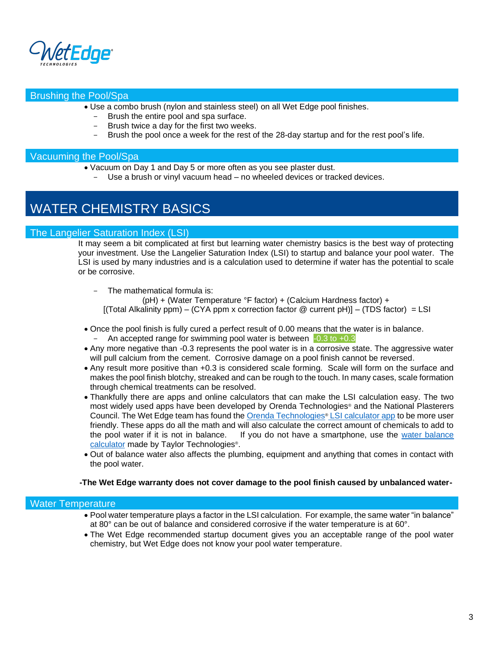

#### <span id="page-5-0"></span>Brushing the Pool/Spa

- Use a combo brush (nylon and stainless steel) on all Wet Edge pool finishes.
	- Brush the entire pool and spa surface.
	- Brush twice a day for the first two weeks.
	- Brush the pool once a week for the rest of the 28-day startup and for the rest pool's life.

#### <span id="page-5-1"></span>Vacuuming the Pool/Spa

- Vacuum on Day 1 and Day 5 or more often as you see plaster dust.
	- Use a brush or vinyl vacuum head no wheeled devices or tracked devices.

## <span id="page-5-2"></span>WATER CHEMISTRY BASICS

#### <span id="page-5-3"></span>The Langelier Saturation Index (LSI)

It may seem a bit complicated at first but learning water chemistry basics is the best way of protecting your investment. Use the Langelier Saturation Index (LSI) to startup and balance your pool water. The LSI is used by many industries and is a calculation used to determine if water has the potential to scale or be corrosive.

The mathematical formula is: (pH) + (Water Temperature °F factor) + (Calcium Hardness factor) +  $[$ (Total Alkalinity ppm) – (CYA ppm x correction factor @ current pH)] – (TDS factor) = LSI

- Once the pool finish is fully cured a perfect result of 0.00 means that the water is in balance. - An accepted range for swimming pool water is between  $-0.3$  to  $+0.3$
- Any more negative than -0.3 represents the pool water is in a corrosive state. The aggressive water will pull calcium from the cement. Corrosive damage on a pool finish cannot be reversed.
- Any result more positive than +0.3 is considered scale forming. Scale will form on the surface and makes the pool finish blotchy, streaked and can be rough to the touch. In many cases, scale formation through chemical treatments can be resolved.
- Thankfully there are apps and online calculators that can make the LSI calculation easy. The two most widely used apps have been developed by Orenda Technologies® and the National Plasterers Council. The Wet Edge team has found the [Orenda Technologies](https://www.orendatech.com/pool-dosing-calculator)® LSI calculator app to be more user friendly. These apps do all the math and will also calculate the correct amount of chemicals to add to the pool water if it is not in balance. If you do not have a smartphone, use the [water balance](https://www.taylortechnologies.com/en/page/124/using-the-circular-watergram-balance-calculator)  [calculator](https://www.taylortechnologies.com/en/page/124/using-the-circular-watergram-balance-calculator) made by Taylor Technologies<sup>®</sup>.
- Out of balance water also affects the plumbing, equipment and anything that comes in contact with the pool water.

#### **-The Wet Edge warranty does not cover damage to the pool finish caused by unbalanced water-**

#### <span id="page-5-4"></span>Water Temperature

- Pool water temperature plays a factor in the LSI calculation. For example, the same water "in balance" at 80 $^{\circ}$  can be out of balance and considered corrosive if the water temperature is at 60 $^{\circ}$ .
- The Wet Edge recommended startup document gives you an acceptable range of the pool water chemistry, but Wet Edge does not know your pool water temperature.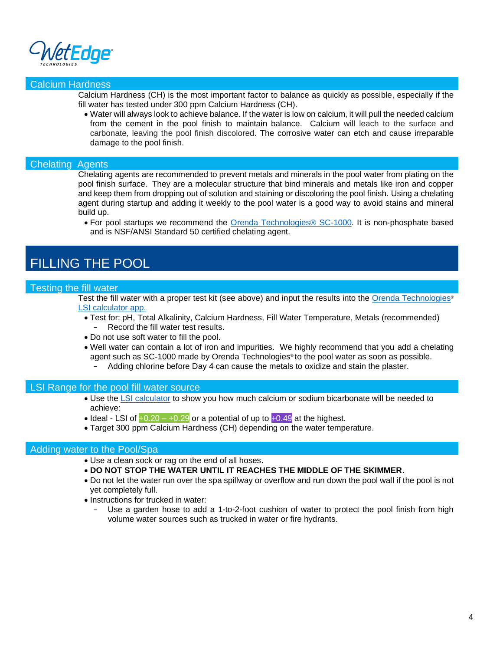

#### <span id="page-6-0"></span>Calcium Hardness

Calcium Hardness (CH) is the most important factor to balance as quickly as possible, especially if the fill water has tested under 300 ppm Calcium Hardness (CH).

• Water will always look to achieve balance. If the water is low on calcium, it will pull the needed calcium from the cement in the pool finish to maintain balance. Calcium will leach to the surface and carbonate, leaving the pool finish discolored. The corrosive water can etch and cause irreparable damage to the pool finish.

#### <span id="page-6-1"></span>Chelating Agents

Chelating agents are recommended to prevent metals and minerals in the pool water from plating on the pool finish surface. They are a molecular structure that bind minerals and metals like iron and copper and keep them from dropping out of solution and staining or discoloring the pool finish. Using a chelating agent during startup and adding it weekly to the pool water is a good way to avoid stains and mineral build up.

• For pool startups we recommend the [Orenda Technologies® SC-1000.](https://www.orendatech.com/orenda-products/sc-1000) It is non-phosphate based and is NSF/ANSI Standard 50 certified chelating agent.

# <span id="page-6-2"></span>FILLING THE POOL

#### <span id="page-6-3"></span>Testing the fill water

Test the fill water with a proper test kit (see above) and input the results into the [Orenda Technologies](https://www.orendatech.com/pool-dosing-calculator)<sup>®</sup> [LSI calculator app.](https://www.orendatech.com/pool-dosing-calculator)

- Test for: pH, Total Alkalinity, Calcium Hardness, Fill Water Temperature, Metals (recommended) - Record the fill water test results.
- Do not use soft water to fill the pool.
- Well water can contain a lot of iron and impurities. We highly recommend that you add a chelating agent such as SC-1000 made by Orenda Technologies® to the pool water as soon as possible.
	- Adding chlorine before Day 4 can cause the metals to oxidize and stain the plaster.

#### LSI Range for the pool fill water source

- Use the [LSI calculator](https://www.orendatech.com/pool-dosing-calculator) to show you how much calcium or sodium bicarbonate will be needed to achieve:
- Ideal LSI of  $+0.20 +0.29$  or a potential of up to  $+0.49$  at the highest.
- Target 300 ppm Calcium Hardness (CH) depending on the water temperature.

#### <span id="page-6-4"></span>Adding water to the Pool/Spa

- Use a clean sock or rag on the end of all hoses.
- **DO NOT STOP THE WATER UNTIL IT REACHES THE MIDDLE OF THE SKIMMER.**
- Do not let the water run over the spa spillway or overflow and run down the pool wall if the pool is not yet completely full.
- <span id="page-6-5"></span>• Instructions for trucked in water:
	- Use a garden hose to add a 1-to-2-foot cushion of water to protect the pool finish from high volume water sources such as trucked in water or fire hydrants.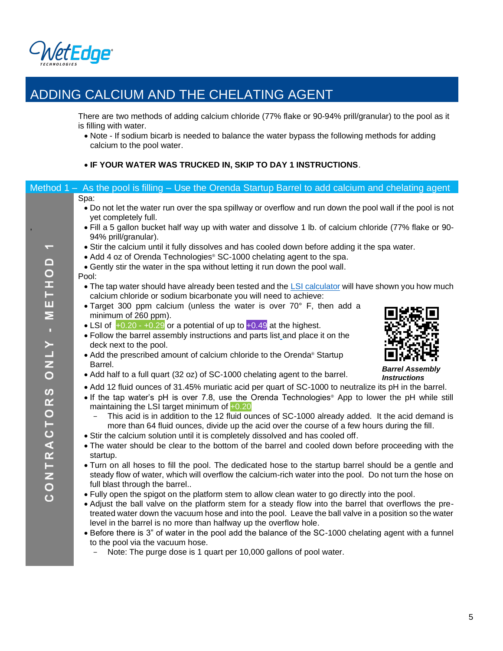

# ADDING CALCIUM AND THE CHELATING AGENT

There are two methods of adding calcium chloride (77% flake or 90-94% prill/granular) to the pool as it is filling with water.

• Note - If sodium bicarb is needed to balance the water bypass the following methods for adding calcium to the pool water.

#### • **IF YOUR WATER WAS TRUCKED IN, SKIP TO DAY 1 INSTRUCTIONS**.

<span id="page-7-0"></span>

|                       | Method $1 - As$ the pool is filling $-$ Use the Orenda Startup Barrel to add calcium and chelating agent                                                                |
|-----------------------|-------------------------------------------------------------------------------------------------------------------------------------------------------------------------|
|                       | Spa:                                                                                                                                                                    |
|                       | • Do not let the water run over the spa spillway or overflow and run down the pool wall if the pool is not                                                              |
|                       | yet completely full.                                                                                                                                                    |
|                       | . Fill a 5 gallon bucket half way up with water and dissolve 1 lb. of calcium chloride (77% flake or 90-<br>94% prill/granular).                                        |
| ī                     | • Stir the calcium until it fully dissolves and has cooled down before adding it the spa water.                                                                         |
|                       | • Add 4 oz of Orenda Technologies® SC-1000 chelating agent to the spa.                                                                                                  |
|                       | • Gently stir the water in the spa without letting it run down the pool wall.                                                                                           |
|                       | Pool:                                                                                                                                                                   |
| METHOD                | • The tap water should have already been tested and the LSI calculator will have shown you how much<br>calcium chloride or sodium bicarbonate you will need to achieve: |
|                       | • Target 300 ppm calcium (unless the water is over 70° F, then add a                                                                                                    |
|                       | minimum of 260 ppm).                                                                                                                                                    |
| ×                     | • LSI of $+0.20 - +0.29$ or a potential of up to $+0.49$ at the highest.                                                                                                |
|                       | • Follow the barrel assembly instructions and parts list and place it on the                                                                                            |
|                       | deck next to the pool.                                                                                                                                                  |
| <b>VIND</b>           | • Add the prescribed amount of calcium chloride to the Orenda® Startup                                                                                                  |
|                       | Barrel.<br><b>Barrel Assembly</b>                                                                                                                                       |
|                       | • Add half to a full quart (32 oz) of SC-1000 chelating agent to the barrel.<br><b>Instructions</b>                                                                     |
| $\boldsymbol{\omega}$ | • Add 12 fluid ounces of 31.45% muriatic acid per quart of SC-1000 to neutralize its pH in the barrel.                                                                  |
|                       | • If the tap water's pH is over 7.8, use the Orenda Technologies® App to lower the pH while still                                                                       |
|                       | maintaining the LSI target minimum of +0.20<br>This acid is in addition to the 12 fluid ounces of SC-1000 already added. It the acid demand is                          |
|                       | more than 64 fluid ounces, divide up the acid over the course of a few hours during the fill.                                                                           |
|                       | . Stir the calcium solution until it is completely dissolved and has cooled off.                                                                                        |
| CONTRACTOR            | • The water should be clear to the bottom of the barrel and cooled down before proceeding with the                                                                      |
|                       | startup.                                                                                                                                                                |
|                       | . Turn on all hoses to fill the pool. The dedicated hose to the startup barrel should be a gentle and                                                                   |
|                       | steady flow of water, which will overflow the calcium-rich water into the pool. Do not turn the hose on<br>full blast through the barrel                                |
|                       | . Fully open the spigot on the platform stem to allow clean water to go directly into the pool.                                                                         |
|                       | • Adjust the ball valve on the platform stem for a steady flow into the barrel that overflows the pre-                                                                  |
|                       | treated water down the vacuum hose and into the pool. Leave the ball valve in a position so the water                                                                   |
|                       | level in the barrel is no more than halfway up the overflow hole.                                                                                                       |
|                       | • Before there is 3" of water in the pool add the balance of the SC-1000 chelating agent with a funnel                                                                  |

to the pool via the vacuum hose. - Note: The purge dose is 1 quart per 10,000 gallons of pool water.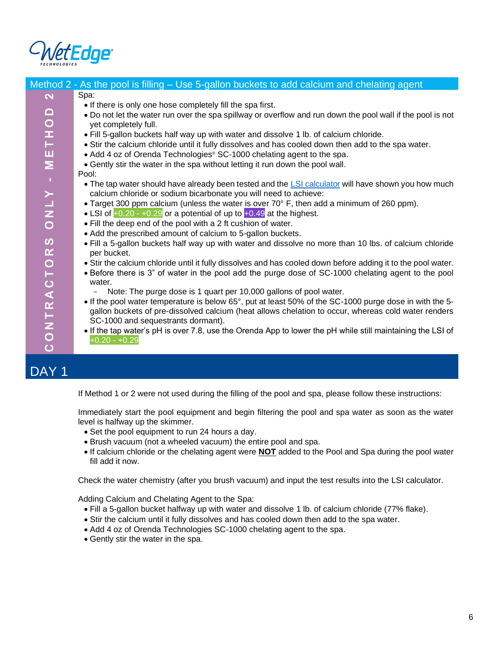

<span id="page-8-0"></span>

|                         | Method 2 - As the pool is filling – Use 5-gallon buckets to add calcium and chelating agent                                                                             |
|-------------------------|-------------------------------------------------------------------------------------------------------------------------------------------------------------------------|
| $\overline{\mathbf{N}}$ | Spa:                                                                                                                                                                    |
|                         | . If there is only one hose completely fill the spa first.                                                                                                              |
| METHOD                  | . Do not let the water run over the spa spillway or overflow and run down the pool wall if the pool is not                                                              |
|                         | yet completely full.                                                                                                                                                    |
|                         | . Fill 5-gallon buckets half way up with water and dissolve 1 lb. of calcium chloride.                                                                                  |
|                         | • Stir the calcium chloride until it fully dissolves and has cooled down then add to the spa water.                                                                     |
|                         | • Add 4 oz of Orenda Technologies® SC-1000 chelating agent to the spa.                                                                                                  |
|                         | • Gently stir the water in the spa without letting it run down the pool wall.                                                                                           |
|                         | Pool:                                                                                                                                                                   |
|                         | • The tap water should have already been tested and the LSI calculator will have shown you how much<br>calcium chloride or sodium bicarbonate you will need to achieve: |
| ONLY -                  | • Target 300 ppm calcium (unless the water is over 70° F, then add a minimum of 260 ppm).                                                                               |
|                         | • LSI of $+0.20 - +0.29$ or a potential of up to $+0.49$ at the highest.                                                                                                |
|                         | • Fill the deep end of the pool with a 2 ft cushion of water.                                                                                                           |
|                         | • Add the prescribed amount of calcium to 5-gallon buckets.                                                                                                             |
| ဖ                       | . Fill a 5-gallon buckets half way up with water and dissolve no more than 10 lbs. of calcium chloride                                                                  |
|                         | per bucket.                                                                                                                                                             |
|                         | . Stir the calcium chloride until it fully dissolves and has cooled down before adding it to the pool water.                                                            |
|                         | • Before there is 3" of water in the pool add the purge dose of SC-1000 chelating agent to the pool                                                                     |
|                         | water.                                                                                                                                                                  |
|                         | Note: The purge dose is 1 quart per 10,000 gallons of pool water.                                                                                                       |
|                         | • If the pool water temperature is below 65°, put at least 50% of the SC-1000 purge dose in with the 5-                                                                 |
|                         | gallon buckets of pre-dissolved calcium (heat allows chelation to occur, whereas cold water renders                                                                     |
|                         | SC-1000 and sequestrants dormant).                                                                                                                                      |
|                         | • If the tap water's pH is over 7.8, use the Orenda App to lower the pH while still maintaining the LSI of                                                              |
| CONTRACTOR              | $+0.20 - +0.29$                                                                                                                                                         |
|                         |                                                                                                                                                                         |
| DAY 1                   |                                                                                                                                                                         |
|                         |                                                                                                                                                                         |

<span id="page-8-1"></span>If Method 1 or 2 were not used during the filling of the pool and spa, please follow these instructions:

Immediately start the pool equipment and begin filtering the pool and spa water as soon as the water level is halfway up the skimmer.

- Set the pool equipment to run 24 hours a day.
- Brush vacuum (not a wheeled vacuum) the entire pool and spa.
- If calcium chloride or the chelating agent were **NOT** added to the Pool and Spa during the pool water fill add it now.

Check the water chemistry (after you brush vacuum) and input the test results into the LSI calculator.

Adding Calcium and Chelating Agent to the Spa:

- Fill a 5-gallon bucket halfway up with water and dissolve 1 lb. of calcium chloride (77% flake).
- Stir the calcium until it fully dissolves and has cooled down then add to the spa water.
- Add 4 oz of Orenda Technologies SC-1000 chelating agent to the spa.
- Gently stir the water in the spa.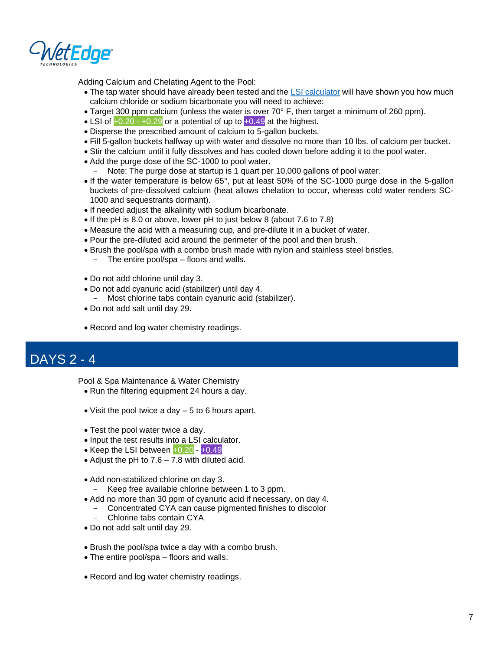

Adding Calcium and Chelating Agent to the Pool:

- The tap water should have already been tested and the [LSI calculator](https://www.orendatech.com/pool-dosing-calculator) will have shown you how much calcium chloride or sodium bicarbonate you will need to achieve:
- Target 300 ppm calcium (unless the water is over 70° F, then target a minimum of 260 ppm).
- LSI of  $+0.20 +0.29$  or a potential of up to  $+0.49$  at the highest.
- Disperse the prescribed amount of calcium to 5-gallon buckets.
- Fill 5-gallon buckets halfway up with water and dissolve no more than 10 lbs. of calcium per bucket.
- Stir the calcium until it fully dissolves and has cooled down before adding it to the pool water.
- Add the purge dose of the SC-1000 to pool water.
	- Note: The purge dose at startup is 1 quart per 10,000 gallons of pool water.
- If the water temperature is below 65°, put at least 50% of the SC-1000 purge dose in the 5-gallon buckets of pre-dissolved calcium (heat allows chelation to occur, whereas cold water renders SC-1000 and sequestrants dormant).
- If needed adjust the alkalinity with sodium bicarbonate.
- If the pH is 8.0 or above, lower pH to just below 8 (about 7.6 to 7.8)
- Measure the acid with a measuring cup, and pre-dilute it in a bucket of water.
- Pour the pre-diluted acid around the perimeter of the pool and then brush.
- Brush the pool/spa with a combo brush made with nylon and stainless steel bristles.
	- The entire pool/spa floors and walls.
- Do not add chlorine until day 3.
- Do not add cyanuric acid (stabilizer) until day 4.
- Most chlorine tabs contain cyanuric acid (stabilizer).
- Do not add salt until day 29.
- Record and log water chemistry readings.

# <span id="page-9-0"></span>DAYS 2 - 4

Pool & Spa Maintenance & Water Chemistry

- Run the filtering equipment 24 hours a day.
- Visit the pool twice a day 5 to 6 hours apart.
- Test the pool water twice a day.
- Input the test results into a LSI calculator.
- Keep the LSI between  $+0.20 +0.49$
- Adjust the pH to 7.6 7.8 with diluted acid.
- Add non-stabilized chlorine on day 3.
	- Keep free available chlorine between 1 to 3 ppm.
- Add no more than 30 ppm of cyanuric acid if necessary, on day 4.
- Concentrated CYA can cause pigmented finishes to discolor
	- Chlorine tabs contain CYA
- Do not add salt until day 29.
- Brush the pool/spa twice a day with a combo brush.
- The entire pool/spa floors and walls.
- Record and log water chemistry readings.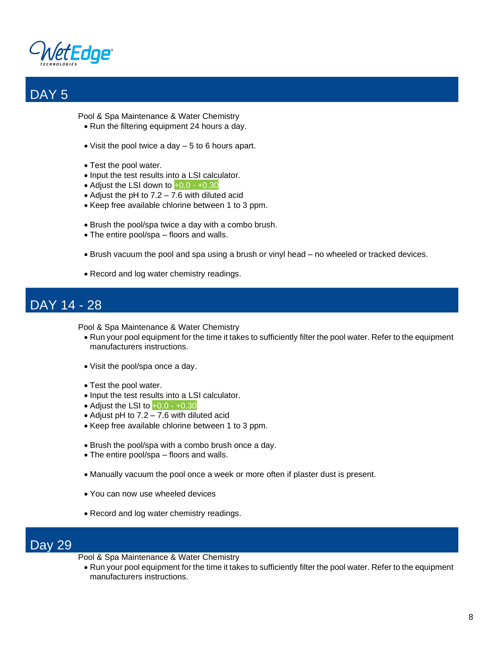

<span id="page-10-0"></span>

Pool & Spa Maintenance & Water Chemistry

- Run the filtering equipment 24 hours a day.
- Visit the pool twice a day 5 to 6 hours apart.
- Test the pool water.
- Input the test results into a LSI calculator.
- Adjust the LSI down to  $+0.0 +0.30$
- Adjust the pH to 7.2 7.6 with diluted acid
- Keep free available chlorine between 1 to 3 ppm.
- Brush the pool/spa twice a day with a combo brush.
- The entire pool/spa floors and walls.
- Brush vacuum the pool and spa using a brush or vinyl head no wheeled or tracked devices.
- Record and log water chemistry readings.

## <span id="page-10-1"></span>DAY 14 - 28

Pool & Spa Maintenance & Water Chemistry

- Run your pool equipment for the time it takes to sufficiently filter the pool water. Refer to the equipment manufacturers instructions.
- Visit the pool/spa once a day.
- Test the pool water.
- Input the test results into a LSI calculator.
- Adjust the LSI to  $+0.0 +0.30$
- Adjust pH to 7.2 7.6 with diluted acid
- Keep free available chlorine between 1 to 3 ppm.
- Brush the pool/spa with a combo brush once a day.
- The entire pool/spa floors and walls.
- Manually vacuum the pool once a week or more often if plaster dust is present.
- You can now use wheeled devices
- Record and log water chemistry readings.

### <span id="page-10-2"></span>Day 29

- Pool & Spa Maintenance & Water Chemistry
	- Run your pool equipment for the time it takes to sufficiently filter the pool water. Refer to the equipment manufacturers instructions.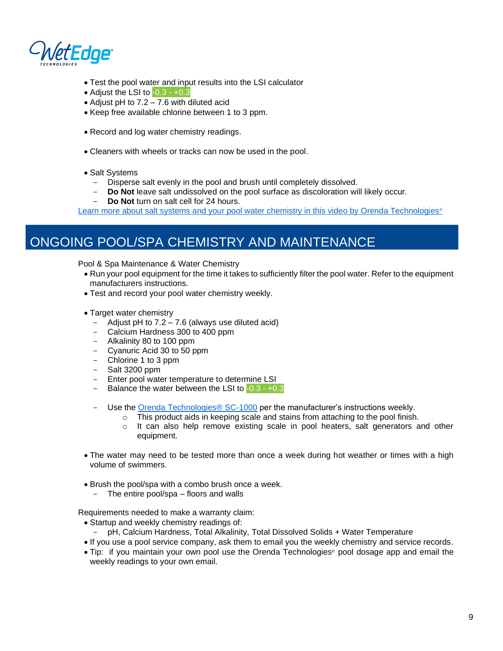

- Test the pool water and input results into the LSI calculator
- Adjust the LSI to  $-0.3 +0.3$
- Adjust pH to 7.2 7.6 with diluted acid
- Keep free available chlorine between 1 to 3 ppm.
- Record and log water chemistry readings.
- Cleaners with wheels or tracks can now be used in the pool.
- Salt Systems
	- Disperse salt evenly in the pool and brush until completely dissolved.
	- **Do Not** leave salt undissolved on the pool surface as discoloration will likely occur.
	- **Do Not** turn on salt cell for 24 hours.

[Learn more about salt systems and your pool water chemistry in this video by Orenda Technologies](https://www.orendatech.com/video?wchannelid=e7vgviijxg&wmediaid=622szd4oez#frequently_asked_questions)<sup>®</sup>

# <span id="page-11-0"></span>ONGOING POOL/SPA CHEMISTRY AND MAINTENANCE

Pool & Spa Maintenance & Water Chemistry

- Run your pool equipment for the time it takes to sufficiently filter the pool water. Refer to the equipment manufacturers instructions.
- Test and record your pool water chemistry weekly.
- Target water chemistry
	- Adjust pH to 7.2 7.6 (always use diluted acid)
	- Calcium Hardness 300 to 400 ppm
	- Alkalinity 80 to 100 ppm
	- Cyanuric Acid 30 to 50 ppm
	- Chlorine 1 to 3 ppm
	- Salt 3200 ppm
	- Enter pool water temperature to determine LSI
	- Balance the water between the LSI to  $-0.3 +0.3$
	- Use the [Orenda Technologies® SC-1000](https://www.orendatech.com/orenda-products/sc-1000) per the manufacturer's instructions weekly.
		- $\circ$  This product aids in keeping scale and stains from attaching to the pool finish.
		- $\circ$  It can also help remove existing scale in pool heaters, salt generators and other equipment.
- The water may need to be tested more than once a week during hot weather or times with a high volume of swimmers.
- Brush the pool/spa with a combo brush once a week.
	- The entire pool/spa floors and walls

Requirements needed to make a warranty claim:

- Startup and weekly chemistry readings of:
	- pH, Calcium Hardness, Total Alkalinity, Total Dissolved Solids + Water Temperature
- If you use a pool service company, ask them to email you the weekly chemistry and service records.
- Tip: if you maintain your own pool use the Orenda Technologies® pool dosage app and email the weekly readings to your own email.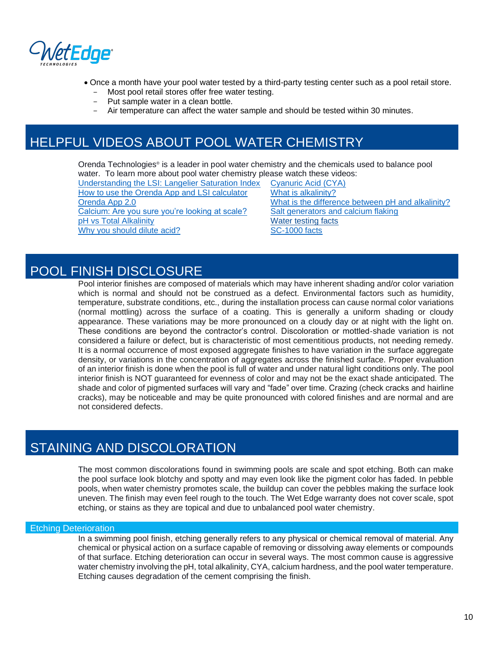

- Once a month have your pool water tested by a third-party testing center such as a pool retail store.
	- Most pool retail stores offer free water testing.
	- Put sample water in a clean bottle.
	- Air temperature can affect the water sample and should be tested within 30 minutes.

# <span id="page-12-0"></span>HELPFUL VIDEOS ABOUT POOL WATER CHEMISTRY

Orenda Technologies® is a leader in pool water chemistry and the chemicals used to balance pool water. To learn more about pool water chemistry please watch these videos:

[Understanding the LSI: Langelier Saturation Index](https://www.orendatech.com/video?wchannelid=e7vgviijxg&wmediaid=spqcq7hxe9) [Cyanuric Acid \(CYA\)](https://www.orendatech.com/video?wchannelid=e7vgviijxg&wmediaid=zb7gex3wt4#educational__how-to_) [How to use the Orenda App and LSI calculator](https://www.orendatech.com/video?wchannelid=e7vgviijxg&wmediaid=jbef9n7zkb) [What is alkalinity?](https://www.orendatech.com/video?wchannelid=e7vgviijxg&wmediaid=qitxou3ys8#educational__how-to_) [Calcium: Are you sure you're looking at scale?](https://www.orendatech.com/video?wchannelid=e7vgviijxg&wmediaid=xmabefkpoy#frequently_asked_questions) [Salt generators and calcium flaking](https://www.orendatech.com/video?wchannelid=e7vgviijxg&wmediaid=xmabefkpoy#frequently_asked_questions) [pH vs Total Alkalinity](https://www.orendatech.com/video?wchannelid=e7vgviijxg&wmediaid=ekm36aznpo) [Water testing facts](https://www.orendatech.com/video?wchannelid=3pjh3udcxt&wmediaid=3owa31woaq#frequently_asked_questions) [Why you should dilute acid?](https://www.orendatech.com/video?wchannelid=e7vgviijxg&wmediaid=yhivxe9ni6) [SC-1000 facts](https://www.orendatech.com/video?wchannelid=3pjh3udcxt&wmediaid=qd8s66kscg)

[Orenda App 2.0](https://www.orendatech.com/video?wchannelid=e7vgviijxg&wmediaid=8gizaotz5y#educational__how-to_) [What is the difference between pH and alkalinity?](https://www.orendatech.com/video?wchannelid=e7vgviijxg&wmediaid=ekm36aznpo#educational__how-to_)

## POOL FINISH DISCLOSURE

Pool interior finishes are composed of materials which may have inherent shading and/or color variation which is normal and should not be construed as a defect. Environmental factors such as humidity, temperature, substrate conditions, etc., during the installation process can cause normal color variations (normal mottling) across the surface of a coating. This is generally a uniform shading or cloudy appearance. These variations may be more pronounced on a cloudy day or at night with the light on. These conditions are beyond the contractor's control. Discoloration or mottled‐shade variation is not considered a failure or defect, but is characteristic of most cementitious products, not needing remedy. It is a normal occurrence of most exposed aggregate finishes to have variation in the surface aggregate density, or variations in the concentration of aggregates across the finished surface. Proper evaluation of an interior finish is done when the pool is full of water and under natural light conditions only. The pool interior finish is NOT guaranteed for evenness of color and may not be the exact shade anticipated. The shade and color of pigmented surfaces will vary and "fade" over time. Crazing (check cracks and hairline cracks), may be noticeable and may be quite pronounced with colored finishes and are normal and are not considered defects.

## <span id="page-12-1"></span>STAINING AND DISCOLORATION

The most common discolorations found in swimming pools are scale and spot etching. Both can make the pool surface look blotchy and spotty and may even look like the pigment color has faded. In pebble pools, when water chemistry promotes scale, the buildup can cover the pebbles making the surface look uneven. The finish may even feel rough to the touch. The Wet Edge warranty does not cover scale, spot etching, or stains as they are topical and due to unbalanced pool water chemistry.

#### <span id="page-12-2"></span>Etching Deterioration

In a swimming pool finish, etching generally refers to any physical or chemical removal of material. Any chemical or physical action on a surface capable of removing or dissolving away elements or compounds of that surface. Etching deterioration can occur in several ways. The most common cause is aggressive water chemistry involving the pH, total alkalinity, CYA, calcium hardness, and the pool water temperature. Etching causes degradation of the cement comprising the finish.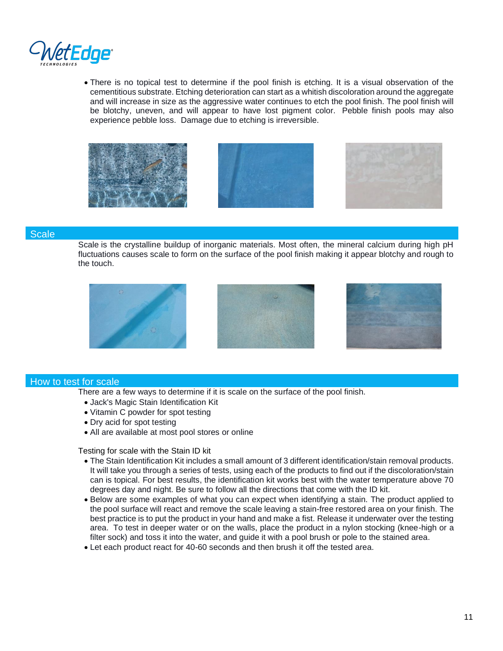

• There is no topical test to determine if the pool finish is etching. It is a visual observation of the cementitious substrate. Etching deterioration can start as a whitish discoloration around the aggregate and will increase in size as the aggressive water continues to etch the pool finish. The pool finish will be blotchy, uneven, and will appear to have lost pigment color. Pebble finish pools may also experience pebble loss. Damage due to etching is irreversible.







#### <span id="page-13-0"></span>**Scale**

Scale is the crystalline buildup of inorganic materials. Most often, the mineral calcium during high pH fluctuations causes scale to form on the surface of the pool finish making it appear blotchy and rough to the touch.



#### <span id="page-13-1"></span>How to test for scale

There are a few ways to determine if it is scale on the surface of the pool finish.

- Jack's Magic Stain Identification Kit
- Vitamin C powder for spot testing
- Dry acid for spot testing
- All are available at most pool stores or online

Testing for scale with the Stain ID kit

- The Stain Identification Kit includes a small amount of 3 different identification/stain removal products. It will take you through a series of tests, using each of the products to find out if the discoloration/stain can is topical. For best results, the identification kit works best with the water temperature above 70 degrees day and night. Be sure to follow all the directions that come with the ID kit.
- Below are some examples of what you can expect when identifying a stain. The product applied to the pool surface will react and remove the scale leaving a stain-free restored area on your finish. The best practice is to put the product in your hand and make a fist. Release it underwater over the testing area. To test in deeper water or on the walls, place the product in a nylon stocking (knee-high or a filter sock) and toss it into the water, and guide it with a pool brush or pole to the stained area.
- Let each product react for 40-60 seconds and then brush it off the tested area.